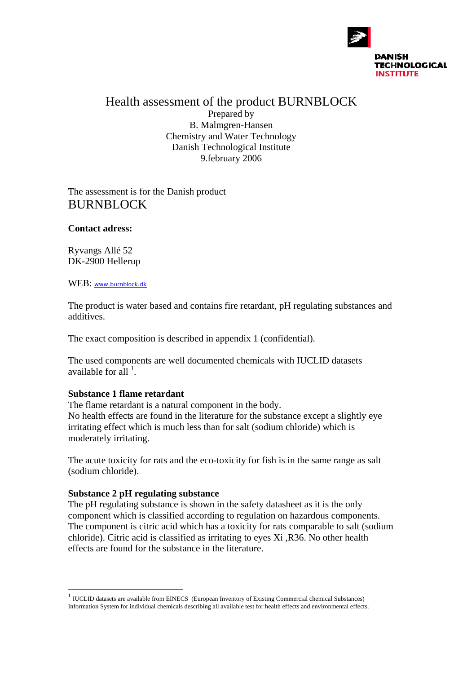

Health assessment of the product BURNBLOCK Prepared by B. Malmgren-Hansen Chemistry and Water Technology Danish Technological Institute 9.february 2006

The assessment is for the Danish product BURNBLOCK

#### **Contact adress:**

Ryvangs Allé 52 DK-2900 Hellerup

WEB: www.burnblock.dk

The product is water based and contains fire retardant, pH regulating substances and additives.

The exact composition is described in appendix 1 (confidential).

The used components are well documented chemicals with IUCLID datasets available for all  $^1$ .

## **Substance 1 flame retardant**

The flame retardant is a natural component in the body.

No health effects are found in the literature for the substance except a slightly eye irritating effect which is much less than for salt (sodium chloride) which is moderately irritating.

The acute toxicity for rats and the eco-toxicity for fish is in the same range as salt (sodium chloride).

## **Substance 2 pH regulating substance**

 $\overline{a}$ 

The pH regulating substance is shown in the safety datasheet as it is the only component which is classified according to regulation on hazardous components. The component is citric acid which has a toxicity for rats comparable to salt (sodium chloride). Citric acid is classified as irritating to eyes Xi ,R36. No other health effects are found for the substance in the literature.

 $1$  IUCLID datasets are available from EINECS (European Inventory of Existing Commercial chemical Substances) Information System for individual chemicals describing all available test for health effects and environmental effects.